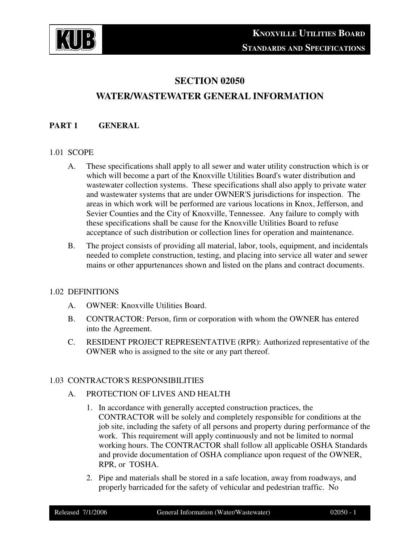

# **SECTION 02050**

# **WATER/WASTEWATER GENERAL INFORMATION**

### **PART 1 GENERAL**

#### 1.01 SCOPE

- A. These specifications shall apply to all sewer and water utility construction which is or which will become a part of the Knoxville Utilities Board's water distribution and wastewater collection systems. These specifications shall also apply to private water and wastewater systems that are under OWNER'S jurisdictions for inspection. The areas in which work will be performed are various locations in Knox, Jefferson, and Sevier Counties and the City of Knoxville, Tennessee. Any failure to comply with these specifications shall be cause for the Knoxville Utilities Board to refuse acceptance of such distribution or collection lines for operation and maintenance.
- B. The project consists of providing all material, labor, tools, equipment, and incidentals needed to complete construction, testing, and placing into service all water and sewer mains or other appurtenances shown and listed on the plans and contract documents.

#### 1.02 DEFINITIONS

- A. OWNER: Knoxville Utilities Board.
- B. CONTRACTOR: Person, firm or corporation with whom the OWNER has entered into the Agreement.
- C. RESIDENT PROJECT REPRESENTATIVE (RPR): Authorized representative of the OWNER who is assigned to the site or any part thereof.

#### 1.03 CONTRACTOR'S RESPONSIBILITIES

#### A. PROTECTION OF LIVES AND HEALTH

- 1. In accordance with generally accepted construction practices, the CONTRACTOR will be solely and completely responsible for conditions at the job site, including the safety of all persons and property during performance of the work. This requirement will apply continuously and not be limited to normal working hours. The CONTRACTOR shall follow all applicable OSHA Standards and provide documentation of OSHA compliance upon request of the OWNER, RPR, or TOSHA.
- 2. Pipe and materials shall be stored in a safe location, away from roadways, and properly barricaded for the safety of vehicular and pedestrian traffic. No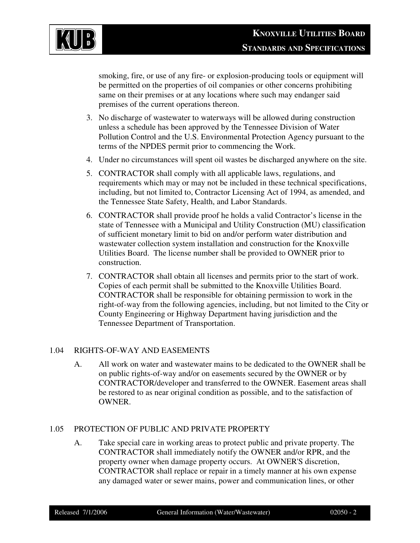

smoking, fire, or use of any fire- or explosion-producing tools or equipment will be permitted on the properties of oil companies or other concerns prohibiting same on their premises or at any locations where such may endanger said premises of the current operations thereon.

- 3. No discharge of wastewater to waterways will be allowed during construction unless a schedule has been approved by the Tennessee Division of Water Pollution Control and the U.S. Environmental Protection Agency pursuant to the terms of the NPDES permit prior to commencing the Work.
- 4. Under no circumstances will spent oil wastes be discharged anywhere on the site.
- 5. CONTRACTOR shall comply with all applicable laws, regulations, and requirements which may or may not be included in these technical specifications, including, but not limited to, Contractor Licensing Act of 1994, as amended, and the Tennessee State Safety, Health, and Labor Standards.
- 6. CONTRACTOR shall provide proof he holds a valid Contractor's license in the state of Tennessee with a Municipal and Utility Construction (MU) classification of sufficient monetary limit to bid on and/or perform water distribution and wastewater collection system installation and construction for the Knoxville Utilities Board. The license number shall be provided to OWNER prior to construction.
- 7. CONTRACTOR shall obtain all licenses and permits prior to the start of work. Copies of each permit shall be submitted to the Knoxville Utilities Board. CONTRACTOR shall be responsible for obtaining permission to work in the right-of-way from the following agencies, including, but not limited to the City or County Engineering or Highway Department having jurisdiction and the Tennessee Department of Transportation.

#### 1.04 RIGHTS-OF-WAY AND EASEMENTS

A. All work on water and wastewater mains to be dedicated to the OWNER shall be on public rights-of-way and/or on easements secured by the OWNER or by CONTRACTOR/developer and transferred to the OWNER. Easement areas shall be restored to as near original condition as possible, and to the satisfaction of OWNER.

#### 1.05 PROTECTION OF PUBLIC AND PRIVATE PROPERTY

A. Take special care in working areas to protect public and private property. The CONTRACTOR shall immediately notify the OWNER and/or RPR, and the property owner when damage property occurs. At OWNER'S discretion, CONTRACTOR shall replace or repair in a timely manner at his own expense any damaged water or sewer mains, power and communication lines, or other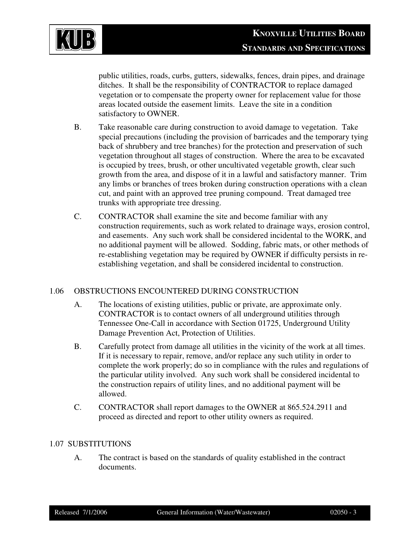

public utilities, roads, curbs, gutters, sidewalks, fences, drain pipes, and drainage ditches. It shall be the responsibility of CONTRACTOR to replace damaged vegetation or to compensate the property owner for replacement value for those areas located outside the easement limits. Leave the site in a condition satisfactory to OWNER.

- B. Take reasonable care during construction to avoid damage to vegetation. Take special precautions (including the provision of barricades and the temporary tying back of shrubbery and tree branches) for the protection and preservation of such vegetation throughout all stages of construction. Where the area to be excavated is occupied by trees, brush, or other uncultivated vegetable growth, clear such growth from the area, and dispose of it in a lawful and satisfactory manner. Trim any limbs or branches of trees broken during construction operations with a clean cut, and paint with an approved tree pruning compound. Treat damaged tree trunks with appropriate tree dressing.
- C. CONTRACTOR shall examine the site and become familiar with any construction requirements, such as work related to drainage ways, erosion control, and easements. Any such work shall be considered incidental to the WORK, and no additional payment will be allowed. Sodding, fabric mats, or other methods of re-establishing vegetation may be required by OWNER if difficulty persists in reestablishing vegetation, and shall be considered incidental to construction.

# 1.06 OBSTRUCTIONS ENCOUNTERED DURING CONSTRUCTION

- A. The locations of existing utilities, public or private, are approximate only. CONTRACTOR is to contact owners of all underground utilities through Tennessee One-Call in accordance with Section 01725, Underground Utility Damage Prevention Act, Protection of Utilities.
- B. Carefully protect from damage all utilities in the vicinity of the work at all times. If it is necessary to repair, remove, and/or replace any such utility in order to complete the work properly; do so in compliance with the rules and regulations of the particular utility involved. Any such work shall be considered incidental to the construction repairs of utility lines, and no additional payment will be allowed.
- C. CONTRACTOR shall report damages to the OWNER at 865.524.2911 and proceed as directed and report to other utility owners as required.

#### 1.07 SUBSTITUTIONS

A. The contract is based on the standards of quality established in the contract documents.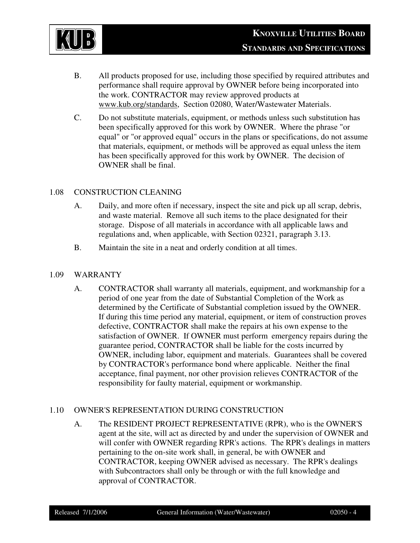

- B. All products proposed for use, including those specified by required attributes and performance shall require approval by OWNER before being incorporated into the work. CONTRACTOR may review approved products at www.kub.org/standards, Section 02080, Water/Wastewater Materials.
- C. Do not substitute materials, equipment, or methods unless such substitution has been specifically approved for this work by OWNER. Where the phrase "or equal" or "or approved equal" occurs in the plans or specifications, do not assume that materials, equipment, or methods will be approved as equal unless the item has been specifically approved for this work by OWNER. The decision of OWNER shall be final.

## 1.08 CONSTRUCTION CLEANING

- A. Daily, and more often if necessary, inspect the site and pick up all scrap, debris, and waste material. Remove all such items to the place designated for their storage. Dispose of all materials in accordance with all applicable laws and regulations and, when applicable, with Section 02321, paragraph 3.13.
- B. Maintain the site in a neat and orderly condition at all times.

#### 1.09 WARRANTY

A. CONTRACTOR shall warranty all materials, equipment, and workmanship for a period of one year from the date of Substantial Completion of the Work as determined by the Certificate of Substantial completion issued by the OWNER. If during this time period any material, equipment, or item of construction proves defective, CONTRACTOR shall make the repairs at his own expense to the satisfaction of OWNER. If OWNER must perform emergency repairs during the guarantee period, CONTRACTOR shall be liable for the costs incurred by OWNER, including labor, equipment and materials. Guarantees shall be covered by CONTRACTOR's performance bond where applicable. Neither the final acceptance, final payment, nor other provision relieves CONTRACTOR of the responsibility for faulty material, equipment or workmanship.

#### 1.10 OWNER'S REPRESENTATION DURING CONSTRUCTION

A. The RESIDENT PROJECT REPRESENTATIVE (RPR), who is the OWNER'S agent at the site, will act as directed by and under the supervision of OWNER and will confer with OWNER regarding RPR's actions. The RPR's dealings in matters pertaining to the on-site work shall, in general, be with OWNER and CONTRACTOR, keeping OWNER advised as necessary. The RPR's dealings with Subcontractors shall only be through or with the full knowledge and approval of CONTRACTOR.